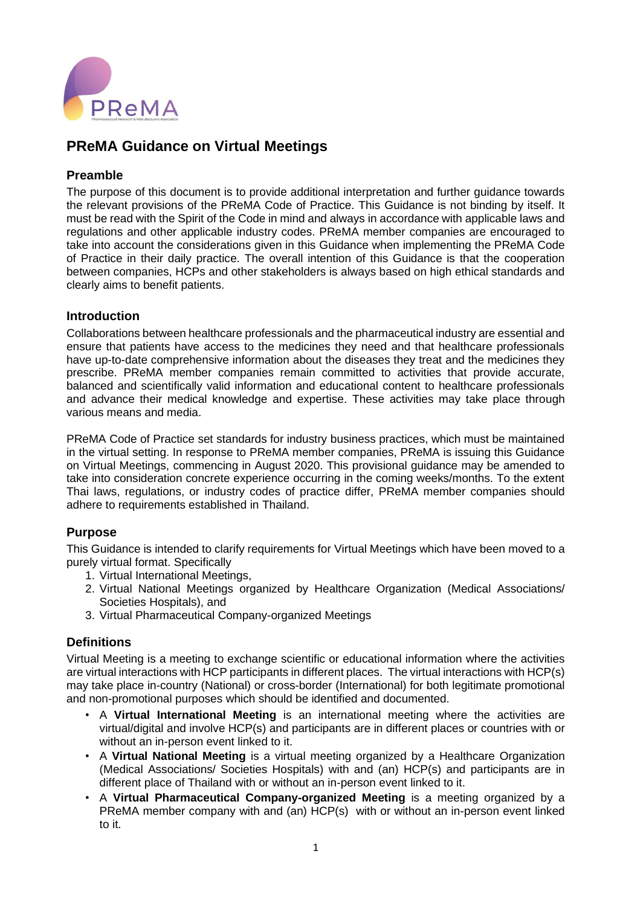

# **PReMA Guidance on Virtual Meetings**

### **Preamble**

The purpose of this document is to provide additional interpretation and further guidance towards the relevant provisions of the PReMA Code of Practice. This Guidance is not binding by itself. It must be read with the Spirit of the Code in mind and always in accordance with applicable laws and regulations and other applicable industry codes. PReMA member companies are encouraged to take into account the considerations given in this Guidance when implementing the PReMA Code of Practice in their daily practice. The overall intention of this Guidance is that the cooperation between companies, HCPs and other stakeholders is always based on high ethical standards and clearly aims to benefit patients.

### **Introduction**

Collaborations between healthcare professionals and the pharmaceutical industry are essential and ensure that patients have access to the medicines they need and that healthcare professionals have up-to-date comprehensive information about the diseases they treat and the medicines they prescribe. PReMA member companies remain committed to activities that provide accurate, balanced and scientifically valid information and educational content to healthcare professionals and advance their medical knowledge and expertise. These activities may take place through various means and media.

PReMA Code of Practice set standards for industry business practices, which must be maintained in the virtual setting. In response to PReMA member companies, PReMA is issuing this Guidance on Virtual Meetings, commencing in August 2020. This provisional guidance may be amended to take into consideration concrete experience occurring in the coming weeks/months. To the extent Thai laws, regulations, or industry codes of practice differ, PReMA member companies should adhere to requirements established in Thailand.

## **Purpose**

This Guidance is intended to clarify requirements for Virtual Meetings which have been moved to a purely virtual format. Specifically

- 1. Virtual International Meetings,
- 2. Virtual National Meetings organized by Healthcare Organization (Medical Associations/ Societies Hospitals), and
- 3. Virtual Pharmaceutical Company-organized Meetings

#### **Definitions**

Virtual Meeting is a meeting to exchange scientific or educational information where the activities are virtual interactions with HCP participants in different places. The virtual interactions with HCP(s) may take place in-country (National) or cross-border (International) for both legitimate promotional and non-promotional purposes which should be identified and documented.

- A **Virtual International Meeting** is an international meeting where the activities are virtual/digital and involve HCP(s) and participants are in different places or countries with or without an in-person event linked to it.
- A **Virtual National Meeting** is a virtual meeting organized by a Healthcare Organization (Medical Associations/ Societies Hospitals) with and (an) HCP(s) and participants are in different place of Thailand with or without an in-person event linked to it.
- A **Virtual Pharmaceutical Company-organized Meeting** is a meeting organized by a PReMA member company with and (an) HCP(s) with or without an in-person event linked to it.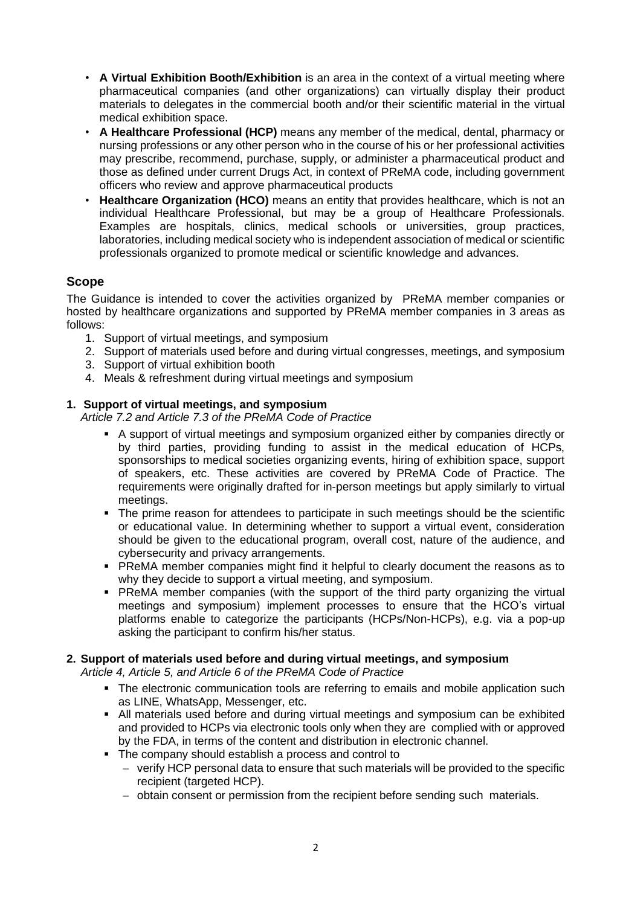- **A Virtual Exhibition Booth/Exhibition** is an area in the context of a virtual meeting where pharmaceutical companies (and other organizations) can virtually display their product materials to delegates in the commercial booth and/or their scientific material in the virtual medical exhibition space.
- **A Healthcare Professional (HCP)** means any member of the medical, dental, pharmacy or nursing professions or any other person who in the course of his or her professional activities may prescribe, recommend, purchase, supply, or administer a pharmaceutical product and those as defined under current Drugs Act, in context of PReMA code, including government officers who review and approve pharmaceutical products
- **Healthcare Organization (HCO)** means an entity that provides healthcare, which is not an individual Healthcare Professional, but may be a group of Healthcare Professionals. Examples are hospitals, clinics, medical schools or universities, group practices, laboratories, including medical society who is independent association of medical or scientific professionals organized to promote medical or scientific knowledge and advances.

# **Scope**

The Guidance is intended to cover the activities organized by PReMA member companies or hosted by healthcare organizations and supported by PReMA member companies in 3 areas as follows:

- 1. Support of virtual meetings, and symposium
- 2. Support of materials used before and during virtual congresses, meetings, and symposium
- 3. Support of virtual exhibition booth
- 4. Meals & refreshment during virtual meetings and symposium

### **1. Support of virtual meetings, and symposium**

*Article 7.2 and Article 7.3 of the PReMA Code of Practice*

- A support of virtual meetings and symposium organized either by companies directly or by third parties, providing funding to assist in the medical education of HCPs, sponsorships to medical societies organizing events, hiring of exhibition space, support of speakers, etc. These activities are covered by PReMA Code of Practice. The requirements were originally drafted for in-person meetings but apply similarly to virtual meetings.
- The prime reason for attendees to participate in such meetings should be the scientific or educational value. In determining whether to support a virtual event, consideration should be given to the educational program, overall cost, nature of the audience, and cybersecurity and privacy arrangements.
- PReMA member companies might find it helpful to clearly document the reasons as to why they decide to support a virtual meeting, and symposium.
- PReMA member companies (with the support of the third party organizing the virtual meetings and symposium) implement processes to ensure that the HCO's virtual platforms enable to categorize the participants (HCPs/Non-HCPs), e.g. via a pop-up asking the participant to confirm his/her status.

## **2. Support of materials used before and during virtual meetings, and symposium**

*Article 4, Article 5, and Article 6 of the PReMA Code of Practice*

- The electronic communication tools are referring to emails and mobile application such as LINE, WhatsApp, Messenger, etc.
- All materials used before and during virtual meetings and symposium can be exhibited and provided to HCPs via electronic tools only when they are complied with or approved by the FDA, in terms of the content and distribution in electronic channel.
- The company should establish a process and control to
	- − verify HCP personal data to ensure that such materials will be provided to the specific recipient (targeted HCP).
	- − obtain consent or permission from the recipient before sending such materials.